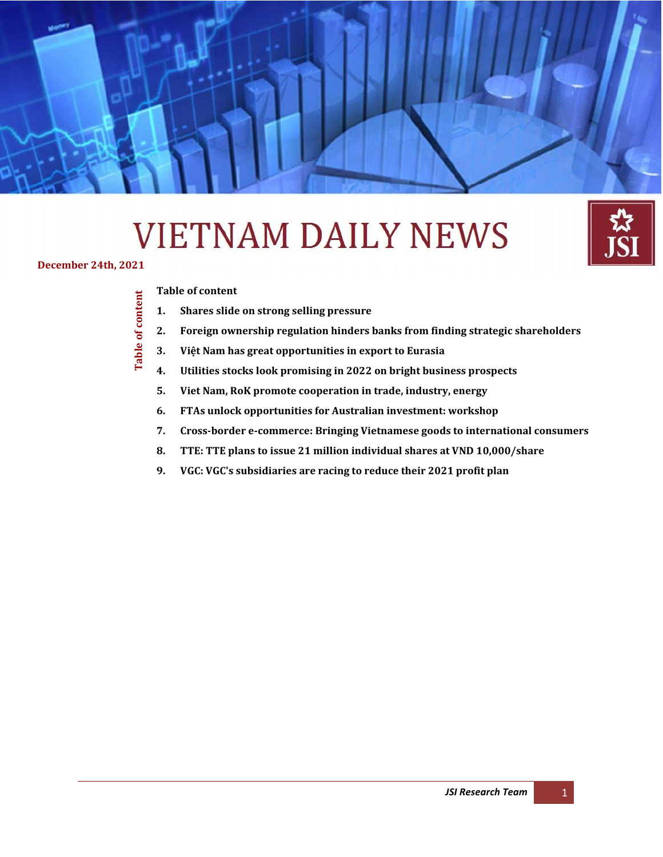# **VIETNAM DAILY NEWS**

**Daily Information Update – Japan Securities Co., Ltd** *(December 24th , 2021)*



#### **December 24th, 2021**

**[Table of content](#page-0-0)**

**Table of content**

<span id="page-0-0"></span>Table of content

- **1. [Shares slide on strong selling pressure](#page-1-0)**
- **2. [Foreign ownership regulation hinders banks from finding strategic shareholders](#page-2-0)**
- **3. [Việt Nam has great opportunities in export to Eurasia](#page-2-1)**
- **4. [Utilities stocks look promising in 2022 on bright business prospects](#page-3-0)**
- **5. [Viet Nam, RoK promote cooperation in trade, industry, energy](#page-5-0)**
- **6. [FTAs unlock opportunities for Australian investment: workshop](#page-6-0)**
- **7. Cross-border e-commerce: [Bringing Vietnamese goods to international consumers](#page-7-0)**
- **8. [TTE: TTE plans to issue 21 million individual shares at VND 10,000/share](#page-9-0)**
- **9. [VGC: VGC's subsidiaries are racing to reduce their 2021 profit plan](#page-9-1)**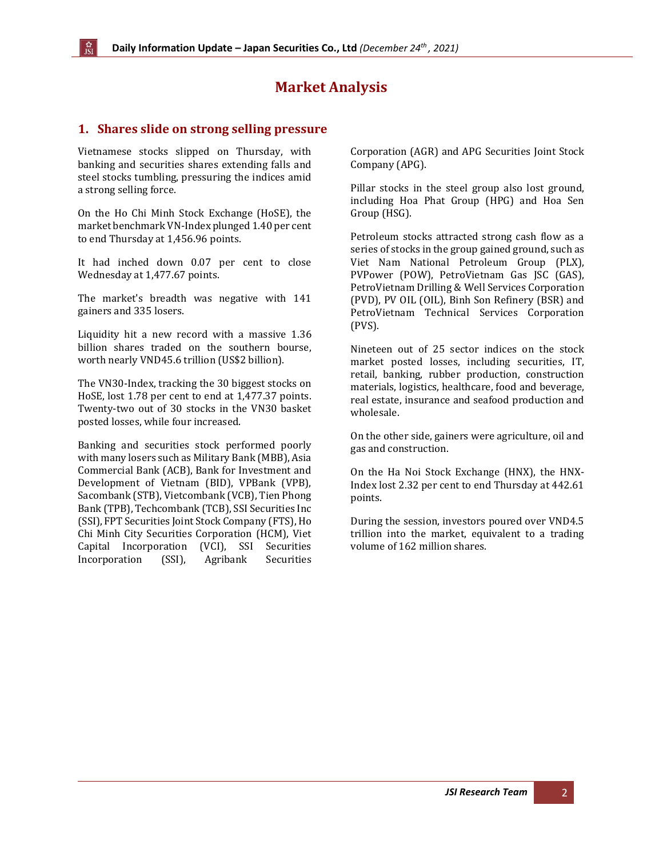# **Market Analysis**

## <span id="page-1-0"></span>**1. Shares slide on strong selling pressure**

Vietnamese stocks slipped on Thursday, with banking and securities shares extending falls and steel stocks tumbling, pressuring the indices amid a strong selling force.

On the Ho Chi Minh Stock Exchange (HoSE), the market benchmark VN-Index plunged 1.40 per cent to end Thursday at 1,456.96 points.

It had inched down 0.07 per cent to close Wednesday at 1,477.67 points.

The market's breadth was negative with 141 gainers and 335 losers.

Liquidity hit a new record with a massive 1.36 billion shares traded on the southern bourse, worth nearly VND45.6 trillion (US\$2 billion).

The VN30-Index, tracking the 30 biggest stocks on HoSE, lost 1.78 per cent to end at 1,477.37 points. Twenty-two out of 30 stocks in the VN30 basket posted losses, while four increased.

Banking and securities stock performed poorly with many losers such as Military Bank (MBB), Asia Commercial Bank (ACB), Bank for Investment and Development of Vietnam (BID), VPBank (VPB), Sacombank (STB), Vietcombank (VCB), Tien Phong Bank (TPB), Techcombank (TCB), SSI Securities Inc (SSI), FPT Securities Joint Stock Company (FTS), Ho Chi Minh City Securities Corporation (HCM), Viet Capital Incorporation (VCI), SSI Securities Incorporation (SSI), Agribank Securities

Corporation (AGR) and APG Securities Joint Stock Company (APG).

Pillar stocks in the steel group also lost ground, including Hoa Phat Group (HPG) and Hoa Sen Group (HSG).

Petroleum stocks attracted strong cash flow as a series of stocks in the group gained ground, such as Viet Nam National Petroleum Group (PLX), PVPower (POW), PetroVietnam Gas JSC (GAS), PetroVietnam Drilling & Well Services Corporation (PVD), PV OIL (OIL), Binh Son Refinery (BSR) and PetroVietnam Technical Services Corporation (PVS).

Nineteen out of 25 sector indices on the stock market posted losses, including securities, IT, retail, banking, rubber production, construction materials, logistics, healthcare, food and beverage, real estate, insurance and seafood production and wholesale.

On the other side, gainers were agriculture, oil and gas and construction.

On the Ha Noi Stock Exchange (HNX), the HNX-Index lost 2.32 per cent to end Thursday at 442.61 points.

During the session, investors poured over VND4.5 trillion into the market, equivalent to a trading volume of 162 million shares.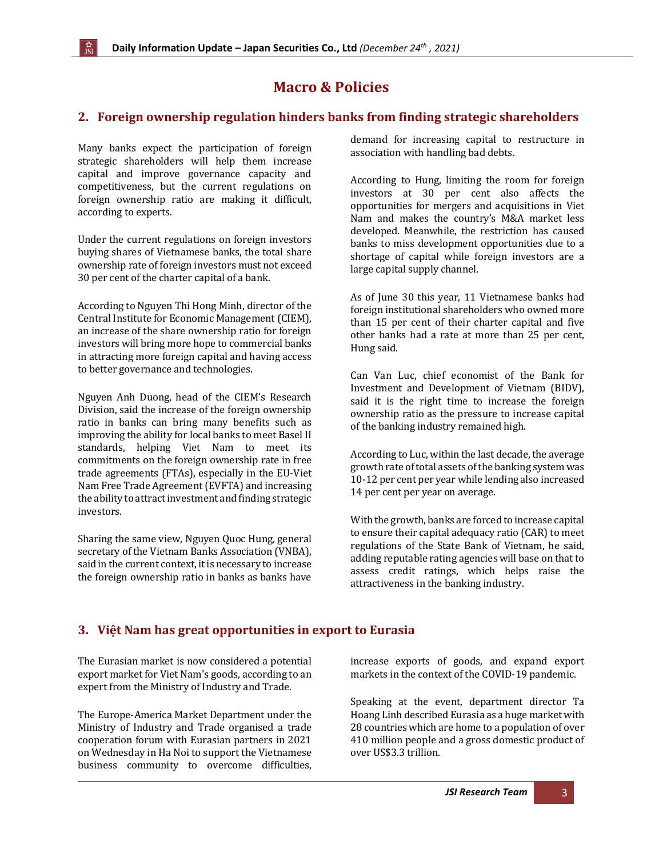# **Macro & Policies**

# <span id="page-2-0"></span>**2. Foreign ownership regulation hinders banks from finding strategic shareholders**

Many banks expect the participation of foreign strategic shareholders will help them increase capital and improve governance capacity and competitiveness, but the current regulations on foreign ownership ratio are making it difficult, according to experts.

Under the current regulations on foreign investors buying shares of Vietnamese banks, the total share ownership rate of foreign investors must not exceed 30 per cent of the charter capital of a bank.

According to Nguyen Thi Hong Minh, director of the Central Institute for Economic Management (CIEM), an increase of the share ownership ratio for foreign investors will bring more hope to commercial banks in attracting more foreign capital and having access to better governance and technologies.

Nguyen Anh Duong, head of the CIEM's Research Division, said the increase of the foreign ownership ratio in banks can bring many benefits such as improving the ability for local banks to meet Basel II standards, helping Viet Nam to meet its commitments on the foreign ownership rate in free trade agreements (FTAs), especially in the EU-Viet Nam Free Trade Agreement (EVFTA) and increasing the ability to attract investment and finding strategic investors.

Sharing the same view, Nguyen Quoc Hung, general secretary of the Vietnam Banks Association (VNBA), said in the current context, it is necessary to increase the foreign ownership ratio in banks as banks have

demand for increasing capital to restructure in association with handling bad debts.

According to Hung, limiting the room for foreign investors at 30 per cent also affects the opportunities for mergers and acquisitions in Viet Nam and makes the country's M&A market less developed. Meanwhile, the restriction has caused banks to miss development opportunities due to a shortage of capital while foreign investors are a large capital supply channel.

As of June 30 this year, 11 Vietnamese banks had foreign institutional shareholders who owned more than 15 per cent of their charter capital and five other banks had a rate at more than 25 per cent, Hung said.

Can Van Luc, chief economist of the Bank for Investment and Development of Vietnam (BIDV), said it is the right time to increase the foreign ownership ratio as the pressure to increase capital of the banking industry remained high.

According to Luc, within the last decade, the average growth rate of total assets of the banking system was 10-12 per cent per year while lending also increased 14 per cent per year on average.

With the growth, banks are forced to increase capital to ensure their capital adequacy ratio (CAR) to meet regulations of the State Bank of Vietnam, he said, adding reputable rating agencies will base on that to assess credit ratings, which helps raise the attractiveness in the banking industry.

# <span id="page-2-1"></span>**3. Việt Nam has great opportunities in export to Eurasia**

The Eurasian market is now considered a potential export market for Viet Nam's goods, according to an expert from the Ministry of Industry and Trade.

The Europe-America Market Department under the Ministry of Industry and Trade organised a trade cooperation forum with Eurasian partners in 2021 on Wednesday in Ha Noi to support the Vietnamese business community to overcome difficulties, increase exports of goods, and expand export markets in the context of the COVID-19 pandemic.

Speaking at the event, department director Ta Hoang Linh described Eurasia as a huge market with 28 countries which are home to a population of over 410 million people and a gross domestic product of over US\$3.3 trillion.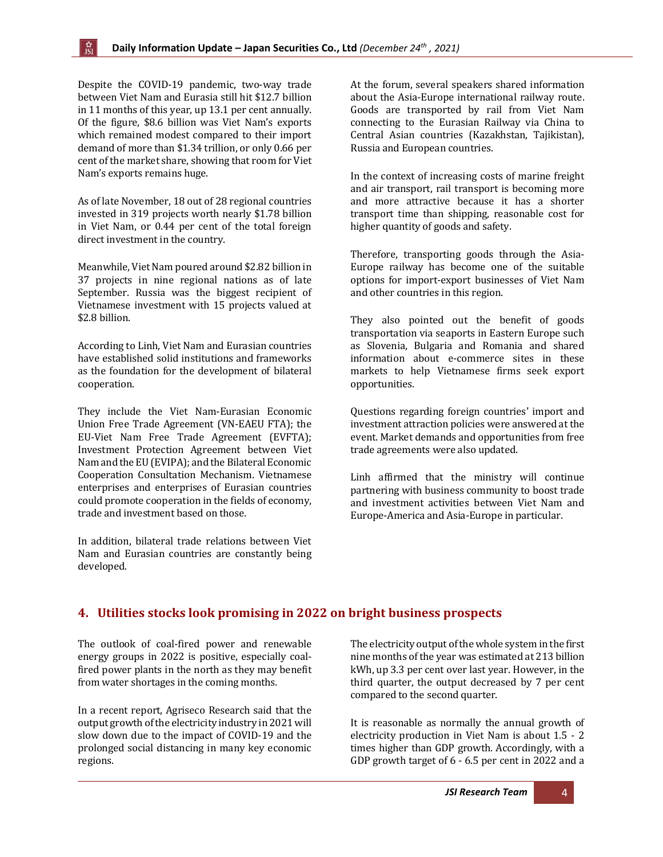Despite the COVID-19 pandemic, two-way trade between Viet Nam and Eurasia still hit \$12.7 billion in 11 months of this year, up 13.1 per cent annually. Of the figure, \$8.6 billion was Viet Nam's exports which remained modest compared to their import demand of more than \$1.34 trillion, or only 0.66 per cent of the market share, showing that room for Viet Nam's exports remains huge.

As of late November, 18 out of 28 regional countries invested in 319 projects worth nearly \$1.78 billion in Viet Nam, or 0.44 per cent of the total foreign direct investment in the country.

Meanwhile, Viet Nam poured around \$2.82 billion in 37 projects in nine regional nations as of late September. Russia was the biggest recipient of Vietnamese investment with 15 projects valued at \$2.8 billion.

According to Linh, Viet Nam and Eurasian countries have established solid institutions and frameworks as the foundation for the development of bilateral cooperation.

They include the Viet Nam-Eurasian Economic Union Free Trade Agreement (VN-EAEU FTA); the EU-Viet Nam Free Trade Agreement (EVFTA); Investment Protection Agreement between Viet Nam and the EU (EVIPA); and the Bilateral Economic Cooperation Consultation Mechanism. Vietnamese enterprises and enterprises of Eurasian countries could promote cooperation in the fields of economy, trade and investment based on those.

In addition, bilateral trade relations between Viet Nam and Eurasian countries are constantly being developed.

At the forum, several speakers shared information about the Asia-Europe international railway route. Goods are transported by rail from Viet Nam connecting to the Eurasian Railway via China to Central Asian countries (Kazakhstan, Tajikistan), Russia and European countries.

In the context of increasing costs of marine freight and air transport, rail transport is becoming more and more attractive because it has a shorter transport time than shipping, reasonable cost for higher quantity of goods and safety.

Therefore, transporting goods through the Asia-Europe railway has become one of the suitable options for import-export businesses of Viet Nam and other countries in this region.

They also pointed out the benefit of goods transportation via seaports in Eastern Europe such as Slovenia, Bulgaria and Romania and shared information about e-commerce sites in these markets to help Vietnamese firms seek export opportunities.

Questions regarding foreign countries' import and investment attraction policies were answered at the event. Market demands and opportunities from free trade agreements were also updated.

Linh affirmed that the ministry will continue partnering with business community to boost trade and investment activities between Viet Nam and Europe-America and Asia-Europe in particular.

# <span id="page-3-0"></span>**4. Utilities stocks look promising in 2022 on bright business prospects**

The outlook of coal-fired power and renewable energy groups in 2022 is positive, especially coalfired power plants in the north as they may benefit from water shortages in the coming months.

In a recent report, Agriseco Research said that the output growth of the electricity industry in 2021 will slow down due to the impact of COVID-19 and the prolonged social distancing in many key economic regions.

The electricity output of the whole system in the first nine months of the year was estimated at 213 billion kWh, up 3.3 per cent over last year. However, in the third quarter, the output decreased by 7 per cent compared to the second quarter.

It is reasonable as normally the annual growth of electricity production in Viet Nam is about 1.5 - 2 times higher than GDP growth. Accordingly, with a GDP growth target of 6 - 6.5 per cent in 2022 and a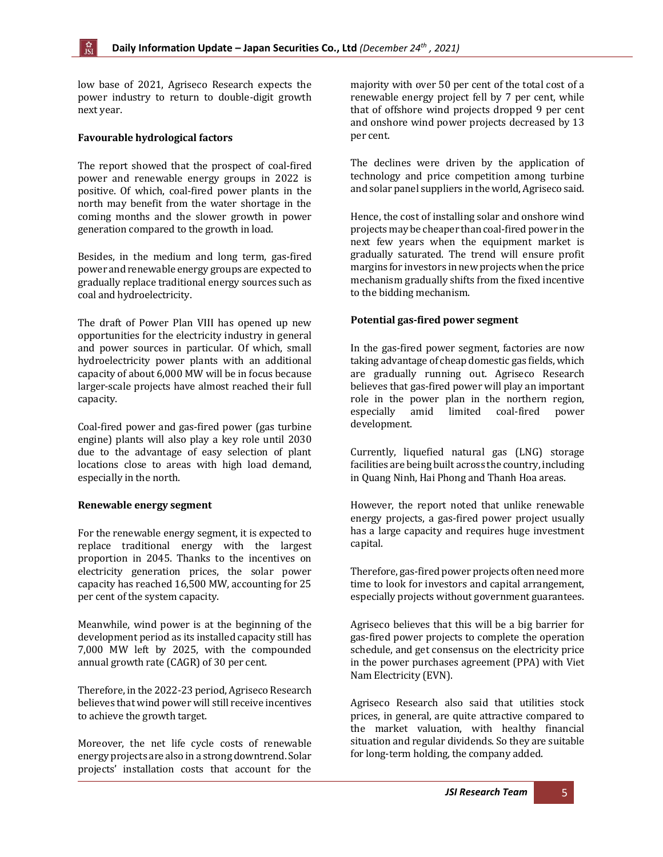low base of 2021, Agriseco Research expects the power industry to return to double-digit growth next year.

#### **Favourable hydrological factors**

The report showed that the prospect of coal-fired power and renewable energy groups in 2022 is positive. Of which, coal-fired power plants in the north may benefit from the water shortage in the coming months and the slower growth in power generation compared to the growth in load.

Besides, in the medium and long term, gas-fired power and renewable energy groups are expected to gradually replace traditional energy sources such as coal and hydroelectricity.

The draft of Power Plan VIII has opened up new opportunities for the electricity industry in general and power sources in particular. Of which, small hydroelectricity power plants with an additional capacity of about 6,000 MW will be in focus because larger-scale projects have almost reached their full capacity.

Coal-fired power and gas-fired power (gas turbine engine) plants will also play a key role until 2030 due to the advantage of easy selection of plant locations close to areas with high load demand, especially in the north.

#### **Renewable energy segment**

For the renewable energy segment, it is expected to replace traditional energy with the largest proportion in 2045. Thanks to the incentives on electricity generation prices, the solar power capacity has reached 16,500 MW, accounting for 25 per cent of the system capacity.

Meanwhile, wind power is at the beginning of the development period as its installed capacity still has 7,000 MW left by 2025, with the compounded annual growth rate (CAGR) of 30 per cent.

Therefore, in the 2022-23 period, Agriseco Research believes that wind power will still receive incentives to achieve the growth target.

Moreover, the net life cycle costs of renewable energy projects are also in a strong downtrend. Solar projects' installation costs that account for the majority with over 50 per cent of the total cost of a renewable energy project fell by 7 per cent, while that of offshore wind projects dropped 9 per cent and onshore wind power projects decreased by 13 per cent.

The declines were driven by the application of technology and price competition among turbine and solar panel suppliers in the world, Agriseco said.

Hence, the cost of installing solar and onshore wind projects may be cheaper than coal-fired power in the next few years when the equipment market is gradually saturated. The trend will ensure profit margins for investors in new projects when the price mechanism gradually shifts from the fixed incentive to the bidding mechanism.

#### **Potential gas-fired power segment**

In the gas-fired power segment, factories are now taking advantage of cheap domestic gas fields, which are gradually running out. Agriseco Research believes that gas-fired power will play an important role in the power plan in the northern region, especially amid limited coal-fired power development.

Currently, liquefied natural gas (LNG) storage facilities are being built across the country, including in Quang Ninh, Hai Phong and Thanh Hoa areas.

However, the report noted that unlike renewable energy projects, a gas-fired power project usually has a large capacity and requires huge investment capital.

Therefore, gas-fired power projects often need more time to look for investors and capital arrangement, especially projects without government guarantees.

Agriseco believes that this will be a big barrier for gas-fired power projects to complete the operation schedule, and get consensus on the electricity price in the power purchases agreement (PPA) with Viet Nam Electricity (EVN).

Agriseco Research also said that utilities stock prices, in general, are quite attractive compared to the market valuation, with healthy financial situation and regular dividends. So they are suitable for long-term holding, the company added.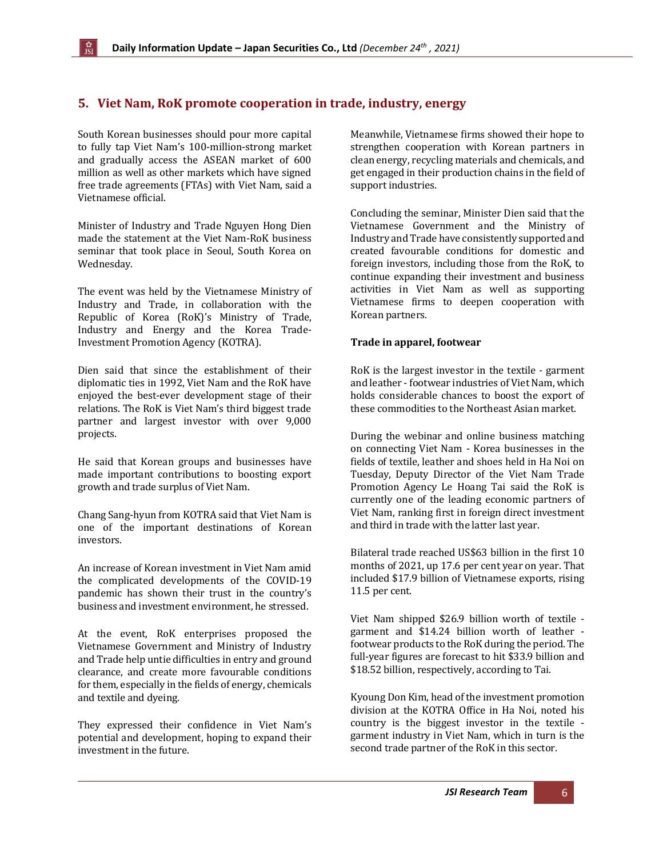# <span id="page-5-0"></span>**5. Viet Nam, RoK promote cooperation in trade, industry, energy**

South Korean businesses should pour more capital to fully tap Viet Nam's 100-million-strong market and gradually access the ASEAN market of 600 million as well as other markets which have signed free trade agreements (FTAs) with Viet Nam, said a Vietnamese official.

Minister of Industry and Trade Nguyen Hong Dien made the statement at the Viet Nam-RoK business seminar that took place in Seoul, South Korea on Wednesday.

The event was held by the Vietnamese Ministry of Industry and Trade, in collaboration with the Republic of Korea (RoK)'s Ministry of Trade, Industry and Energy and the Korea Trade-Investment Promotion Agency (KOTRA).

Dien said that since the establishment of their diplomatic ties in 1992, Viet Nam and the RoK have enjoyed the best-ever development stage of their relations. The RoK is Viet Nam's third biggest trade partner and largest investor with over 9,000 projects.

He said that Korean groups and businesses have made important contributions to boosting export growth and trade surplus of Viet Nam.

Chang Sang-hyun from KOTRA said that Viet Nam is one of the important destinations of Korean investors.

An increase of Korean investment in Viet Nam amid the complicated developments of the COVID-19 pandemic has shown their trust in the country's business and investment environment, he stressed.

At the event, RoK enterprises proposed the Vietnamese Government and Ministry of Industry and Trade help untie difficulties in entry and ground clearance, and create more favourable conditions for them, especially in the fields of energy, chemicals and textile and dyeing.

They expressed their confidence in Viet Nam's potential and development, hoping to expand their investment in the future.

Meanwhile, Vietnamese firms showed their hope to strengthen cooperation with Korean partners in clean energy, recycling materials and chemicals, and get engaged in their production chains in the field of support industries.

Concluding the seminar, Minister Dien said that the Vietnamese Government and the Ministry of Industry and Trade have consistently supported and created favourable conditions for domestic and foreign investors, including those from the RoK, to continue expanding their investment and business activities in Viet Nam as well as supporting Vietnamese firms to deepen cooperation with Korean partners.

#### **Trade in apparel, footwear**

RoK is the largest investor in the textile - garment and leather - footwear industries of Viet Nam, which holds considerable chances to boost the export of these commodities to the Northeast Asian market.

During the webinar and online business matching on connecting Viet Nam - Korea businesses in the fields of textile, leather and shoes held in Ha Noi on Tuesday, Deputy Director of the Viet Nam Trade Promotion Agency Le Hoang Tai said the RoK is currently one of the leading economic partners of Viet Nam, ranking first in foreign direct investment and third in trade with the latter last year.

Bilateral trade reached US\$63 billion in the first 10 months of 2021, up 17.6 per cent year on year. That included \$17.9 billion of Vietnamese exports, rising 11.5 per cent.

Viet Nam shipped \$26.9 billion worth of textile garment and \$14.24 billion worth of leather footwear products to the RoK during the period. The full-year figures are forecast to hit \$33.9 billion and \$18.52 billion, respectively, according to Tai.

Kyoung Don Kim, head of the investment promotion division at the KOTRA Office in Ha Noi, noted his country is the biggest investor in the textile garment industry in Viet Nam, which in turn is the second trade partner of the RoK in this sector.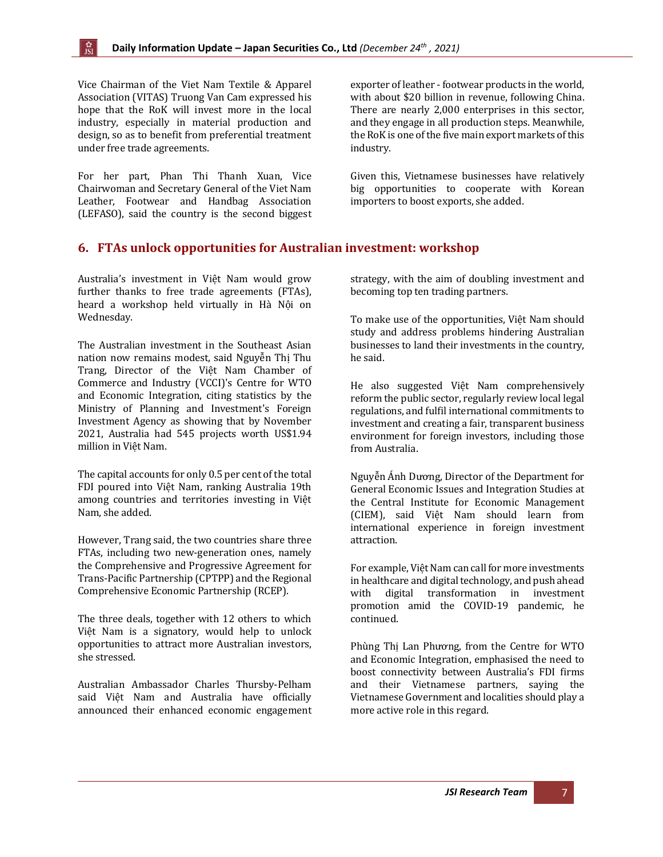Vice Chairman of the Viet Nam Textile & Apparel Association (VITAS) Truong Van Cam expressed his hope that the RoK will invest more in the local industry, especially in material production and design, so as to benefit from preferential treatment under free trade agreements.

For her part, Phan Thi Thanh Xuan, Vice Chairwoman and Secretary General of the Viet Nam Leather, Footwear and Handbag Association (LEFASO), said the country is the second biggest exporter of leather - footwear products in the world, with about \$20 billion in revenue, following China. There are nearly 2,000 enterprises in this sector, and they engage in all production steps. Meanwhile, the RoK is one of the five main export markets of this industry.

Given this, Vietnamese businesses have relatively big opportunities to cooperate with Korean importers to boost exports, she added.

## <span id="page-6-0"></span>**6. FTAs unlock opportunities for Australian investment: workshop**

Australia's investment in Việt Nam would grow further thanks to free trade agreements (FTAs), heard a workshop held virtually in Hà Nội on Wednesday.

The Australian investment in the Southeast Asian nation now remains modest, said Nguyễn Thị Thu Trang, Director of the Việt Nam Chamber of Commerce and Industry (VCCI)'s Centre for WTO and Economic Integration, citing statistics by the Ministry of Planning and Investment's Foreign Investment Agency as showing that by November 2021, Australia had 545 projects worth US\$1.94 million in Việt Nam.

The capital accounts for only 0.5 per cent of the total FDI poured into Việt Nam, ranking Australia 19th among countries and territories investing in Việt Nam, she added.

However, Trang said, the two countries share three FTAs, including two new-generation ones, namely the Comprehensive and Progressive Agreement for Trans-Pacific Partnership (CPTPP) and the Regional Comprehensive Economic Partnership (RCEP).

The three deals, together with 12 others to which Việt Nam is a signatory, would help to unlock opportunities to attract more Australian investors, she stressed.

Australian Ambassador Charles Thursby-Pelham said Việt Nam and Australia have officially announced their enhanced economic engagement strategy, with the aim of doubling investment and becoming top ten trading partners.

To make use of the opportunities, Việt Nam should study and address problems hindering Australian businesses to land their investments in the country, he said.

He also suggested Việt Nam comprehensively reform the public sector, regularly review local legal regulations, and fulfil international commitments to investment and creating a fair, transparent business environment for foreign investors, including those from Australia.

Nguyễn Ánh Dương, Director of the Department for General Economic Issues and Integration Studies at the Central Institute for Economic Management (CIEM), said Việt Nam should learn from international experience in foreign investment attraction.

For example, Việt Nam can call for more investments in healthcare and digital technology, and push ahead with digital transformation in investment promotion amid the COVID-19 pandemic, he continued.

Phùng Thị Lan Phương, from the Centre for WTO and Economic Integration, emphasised the need to boost connectivity between Australia's FDI firms and their Vietnamese partners, saying the Vietnamese Government and localities should play a more active role in this regard.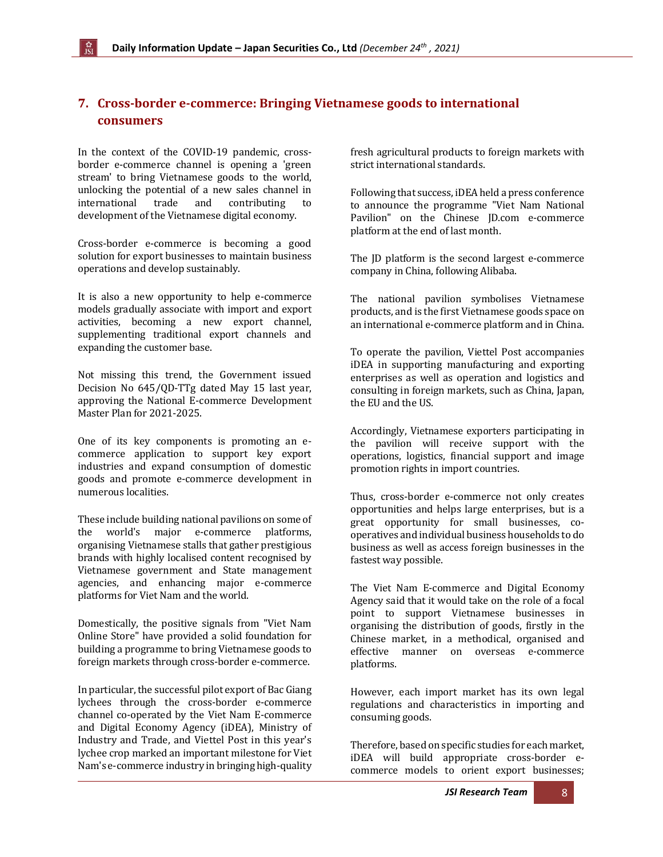# <span id="page-7-0"></span>**7. Cross-border e-commerce: Bringing Vietnamese goods to international consumers**

In the context of the COVID-19 pandemic, crossborder e-commerce channel is opening a 'green stream' to bring Vietnamese goods to the world, unlocking the potential of a new sales channel in international trade and contributing to development of the Vietnamese digital economy.

Cross-border e-commerce is becoming a good solution for export businesses to maintain business operations and develop sustainably.

It is also a new opportunity to help e-commerce models gradually associate with import and export activities, becoming a new export channel, supplementing traditional export channels and expanding the customer base.

Not missing this trend, the Government issued Decision No 645/QD-TTg dated May 15 last year, approving the National E-commerce Development Master Plan for 2021-2025.

One of its key components is promoting an ecommerce application to support key export industries and expand consumption of domestic goods and promote e-commerce development in numerous localities.

These include building national pavilions on some of the world's major e-commerce platforms, organising Vietnamese stalls that gather prestigious brands with highly localised content recognised by Vietnamese government and State management agencies, and enhancing major e-commerce platforms for Viet Nam and the world.

Domestically, the positive signals from "Viet Nam Online Store" have provided a solid foundation for building a programme to bring Vietnamese goods to foreign markets through cross-border e-commerce.

In particular, the successful pilot export of Bac Giang lychees through the cross-border e-commerce channel co-operated by the Viet Nam E-commerce and Digital Economy Agency (iDEA), Ministry of Industry and Trade, and Viettel Post in this year's lychee crop marked an important milestone for Viet Nam's e-commerce industry in bringing high-quality

fresh agricultural products to foreign markets with strict international standards.

Following that success, iDEA held a press conference to announce the programme "Viet Nam National Pavilion" on the Chinese JD.com e-commerce platform at the end of last month.

The JD platform is the second largest e-commerce company in China, following Alibaba.

The national pavilion symbolises Vietnamese products, and is the first Vietnamese goods space on an international e-commerce platform and in China.

To operate the pavilion, Viettel Post accompanies iDEA in supporting manufacturing and exporting enterprises as well as operation and logistics and consulting in foreign markets, such as China, Japan, the EU and the US.

Accordingly, Vietnamese exporters participating in the pavilion will receive support with the operations, logistics, financial support and image promotion rights in import countries.

Thus, cross-border e-commerce not only creates opportunities and helps large enterprises, but is a great opportunity for small businesses, cooperatives and individual business households to do business as well as access foreign businesses in the fastest way possible.

The Viet Nam E-commerce and Digital Economy Agency said that it would take on the role of a focal point to support Vietnamese businesses in organising the distribution of goods, firstly in the Chinese market, in a methodical, organised and effective manner on overseas e-commerce platforms.

However, each import market has its own legal regulations and characteristics in importing and consuming goods.

Therefore, based on specific studies for each market, iDEA will build appropriate cross-border ecommerce models to orient export businesses;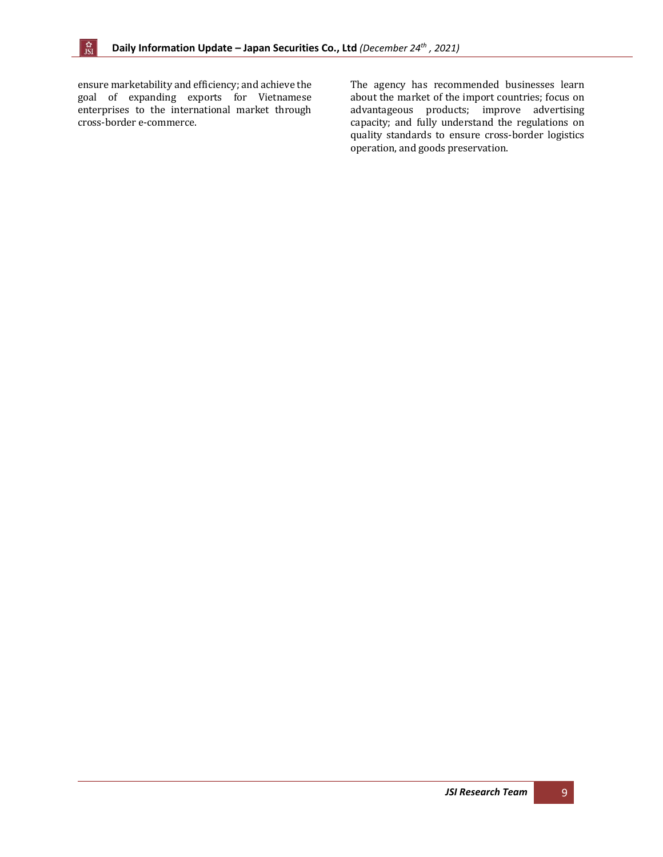ensure marketability and efficiency; and achieve the goal of expanding exports for Vietnamese enterprises to the international market through cross-border e-commerce.

វិន្ទុ<br>JSI

The agency has recommended businesses learn about the market of the import countries; focus on advantageous products; improve advertising capacity; and fully understand the regulations on quality standards to ensure cross-border logistics operation, and goods preservation.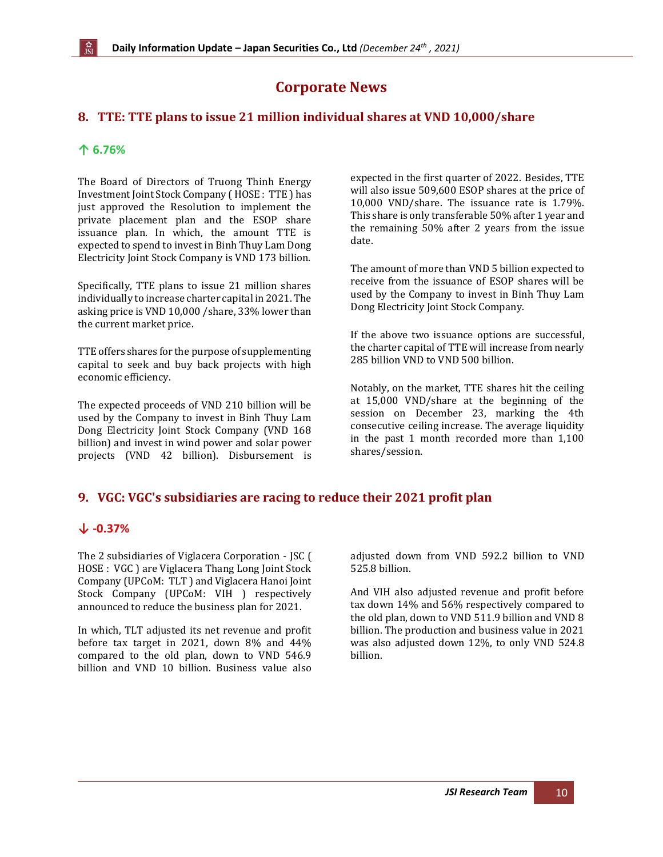# **Corporate News**

# <span id="page-9-0"></span>**8. TTE: TTE plans to issue 21 million individual shares at VND 10,000/share**

#### **↑ 6.76%**

The Board of Directors of Truong Thinh Energy Investment Joint Stock Company ( HOSE : TTE ) has just approved the Resolution to implement the private placement plan and the ESOP share issuance plan. In which, the amount TTE is expected to spend to invest in Binh Thuy Lam Dong Electricity Joint Stock Company is VND 173 billion.

Specifically, TTE plans to issue 21 million shares individually to increase charter capital in 2021. The asking price is VND 10,000 /share, 33% lower than the current market price.

TTE offers shares for the purpose of supplementing capital to seek and buy back projects with high economic efficiency.

The expected proceeds of VND 210 billion will be used by the Company to invest in Binh Thuy Lam Dong Electricity Joint Stock Company (VND 168 billion) and invest in wind power and solar power projects (VND 42 billion). Disbursement is expected in the first quarter of 2022. Besides, TTE will also issue 509,600 ESOP shares at the price of 10,000 VND/share. The issuance rate is 1.79%. This share is only transferable 50% after 1 year and the remaining 50% after 2 years from the issue date.

The amount of more than VND 5 billion expected to receive from the issuance of ESOP shares will be used by the Company to invest in Binh Thuy Lam Dong Electricity Joint Stock Company.

If the above two issuance options are successful, the charter capital of TTE will increase from nearly 285 billion VND to VND 500 billion.

Notably, on the market, TTE shares hit the ceiling at 15,000 VND/share at the beginning of the session on December 23, marking the 4th consecutive ceiling increase. The average liquidity in the past 1 month recorded more than 1,100 shares/session.

# <span id="page-9-1"></span>**9. VGC: VGC's subsidiaries are racing to reduce their 2021 profit plan**

## **↓ -0.37%**

The 2 subsidiaries of Viglacera Corporation - JSC ( HOSE : VGC ) are Viglacera Thang Long Joint Stock Company (UPCoM: TLT ) and Viglacera Hanoi Joint Stock Company (UPCoM: VIH ) respectively announced to reduce the business plan for 2021.

In which, TLT adjusted its net revenue and profit before tax target in 2021, down 8% and 44% compared to the old plan, down to VND 546.9 billion and VND 10 billion. Business value also

adjusted down from VND 592.2 billion to VND 525.8 billion.

And VIH also adjusted revenue and profit before tax down 14% and 56% respectively compared to the old plan, down to VND 511.9 billion and VND 8 billion. The production and business value in 2021 was also adjusted down 12%, to only VND 524.8 billion.